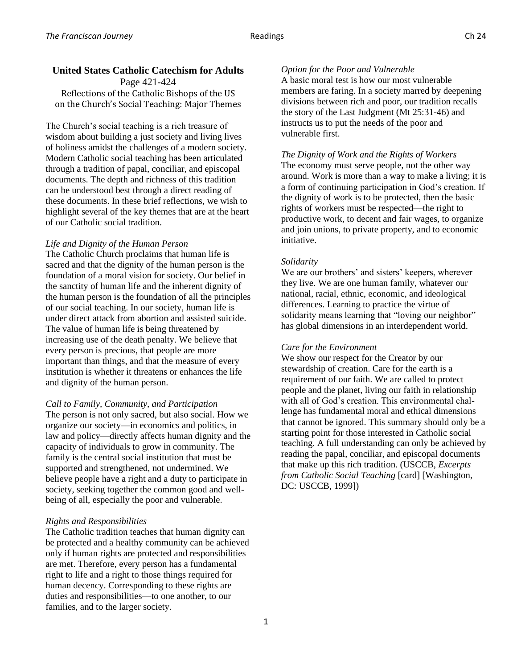## **United States Catholic Catechism for Adults** Page 421-424 Reflections of the Catholic Bishops of the US on the Church's Social Teaching: Major Themes

The Church's social teaching is a rich treasure of wisdom about building a just society and living lives of holiness amidst the challenges of a modern society. Modern Catholic social teaching has been articulated through a tradition of papal, conciliar, and episcopal documents. The depth and richness of this tradition can be understood best through a direct reading of these documents. In these brief reflections, we wish to highlight several of the key themes that are at the heart of our Catholic social tradition.

#### *Life and Dignity of the Human Person*

The Catholic Church proclaims that human life is sacred and that the dignity of the human person is the foundation of a moral vision for society. Our belief in the sanctity of human life and the inherent dignity of the human person is the foundation of all the principles of our social teaching. In our society, human life is under direct attack from abortion and assisted suicide. The value of human life is being threatened by increasing use of the death penalty. We believe that every person is precious, that people are more important than things, and that the measure of every institution is whether it threatens or enhances the life and dignity of the human person.

#### *Call to Family, Community, and Participation*

The person is not only sacred, but also social. How we organize our society—in economics and politics, in law and policy—directly affects human dignity and the capacity of individuals to grow in community. The family is the central social institution that must be supported and strengthened, not undermined. We believe people have a right and a duty to participate in society, seeking together the common good and wellbeing of all, especially the poor and vulnerable.

#### *Rights and Responsibilities*

The Catholic tradition teaches that human dignity can be protected and a healthy community can be achieved only if human rights are protected and responsibilities are met. Therefore, every person has a fundamental right to life and a right to those things required for human decency. Corresponding to these rights are duties and responsibilities—to one another, to our families, and to the larger society.

#### *Option for the Poor and Vulnerable*

A basic moral test is how our most vulnerable members are faring. In a society marred by deepening divisions between rich and poor, our tradition recalls the story of the Last Judgment (Mt 25:31-46) and instructs us to put the needs of the poor and vulnerable first.

### *The Dignity of Work and the Rights of Workers* The economy must serve people, not the other way around. Work is more than a way to make a living; it is a form of continuing participation in God's creation. If the dignity of work is to be protected, then the basic rights of workers must be respected—the right to productive work, to decent and fair wages, to organize and join unions, to private property, and to economic initiative.

#### *Solidarity*

We are our brothers' and sisters' keepers, wherever they live. We are one human family, whatever our national, racial, ethnic, economic, and ideological differences. Learning to practice the virtue of solidarity means learning that "loving our neighbor" has global dimensions in an interdependent world.

#### *Care for the Environment*

We show our respect for the Creator by our stewardship of creation. Care for the earth is a requirement of our faith. We are called to protect people and the planet, living our faith in relationship with all of God's creation. This environmental challenge has fundamental moral and ethical dimensions that cannot be ignored. This summary should only be a starting point for those interested in Catholic social teaching. A full understanding can only be achieved by reading the papal, conciliar, and episcopal documents that make up this rich tradition. (USCCB, *Excerpts from Catholic Social Teaching* [card] [Washington, DC: USCCB, 1999])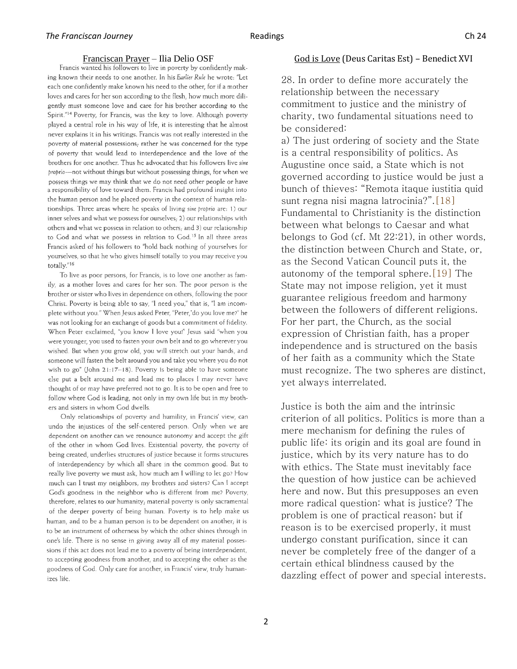ing known their needs to one another. In his Earlier Rule he wrote: "Let each one confidently make known his need to the other, for if a mother loves and cares for her son according to the flesh, how much more diligently must someone love and care for his brother according to the Spirit."<sup>14</sup> Poverty, for Francis, was the key to love. Although poverty played a central role in his way of life, it is interesting that he almost never explains it in his writings. Francis was not really interested in the poverty of material possessions; rather he was concerned for the type of poverty that would lead to interdependence and the love of the brothers for one another. Thus he advocated that his followers live sine proprio-not without things but without possessing things, for when we possess things we may think that we do not need other people or have a responsibility of love toward them. Francis had profound insight into the human person and he placed poverty in the context of human relationships. Three areas where he speaks of living sine proprio are: 1) our inner selves and what we possess for ourselves;  $2$ ) our relationships with others and what we possess in relation to others, and 3) our relationship to God and what we possess in relation to God.<sup>15</sup> In all three areas Francis asked of his followers to "hold back nothing of yourselves for yourselves, so that he who gives himself totally to you may receive you totally."16

To live as poor persons, for Francis, is to love one another as family, as a mother loves and cares for her son. The poor person is the brother or sister who lives in dependence on others, following the poor Christ. Poverty is being able to say, "I need you," that is, "I am incomplete without you." When Jesus asked Peter, "Peter, do you love me?" he was not looking for an exchange of goods but a commitment of fidelity. When Peter exclaimed, "you know I love you!" Jesus said "when you were younger, you used to fasten your own belt and to go wherever you wished. But when you grow old, you will stretch out your hands, and someone will fasten the belt around you and take you where you do not wish to  $go''$  (John 21:17-18). Poverty is being able to have someone else put a belt around me and lead me to places I may never have thought of or may have preferred not to go. It is to be open and free to follow where God is leading, not only in my own life but in my brothers and sisters in whom God dwells.

Only relationships of poverty and humility, in Francis' view, can undo the injustices of the self-centered person. Only when we are dependent on another can we renounce autonomy and accept the gift of the other in whom God lives. Existential poverty, the poverty of being created, underlies structures of justice because it forms structures of interdependency by which all share in the common good. But to really live poverty we must ask, how much am I willing to let go? How much can I trust my neighbors, my brothers and sisters? Can I accept God's goodness in the neighbor who is different from me? Poverty, therefore, relates to our humanity; material poverty is only sacramental of the deeper poverty of being human. Poverty is to help make us human, and to be a human person is to be dependent on another; it is to be an instrument of otherness by which the other shines through in one's life. There is no sense in giving away all of my material possessions if this act does not lead me to a poverty of being interdependent, to accepting goodness from another, and to accepting the other as the goodness of God. Only care for another, in Francis' view, truly humanizes life.

# Franciscan Prayer – Ilia Delio OSF God is Love (Deus Caritas Est) – Benedict XVI<br>Francis wanted his followers to live in poverty by confidently mak-

28. In order to define more accurately the relationship between the necessary commitment to justice and the ministry of charity, two fundamental situations need to be considered:

a) The just ordering of society and the State is a central responsibility of politics. As Augustine once said, a State which is not governed according to justice would be just a bunch of thieves: "Remota itaque iustitia quid sunt regna nisi magna latrocinia?".[18] Fundamental to Christianity is the distinction between what belongs to Caesar and what belongs to God (cf. Mt 22:21), in other words, the distinction between Church and State, or, as the Second Vatican Council puts it, the autonomy of the temporal sphere.  $[19]$  The State may not impose religion, yet it must guarantee religious freedom and harmony between the followers of different religions. For her part, the Church, as the social expression of Christian faith, has a proper independence and is structured on the basis of her faith as a community which the State must recognize. The two spheres are distinct, yet always interrelated.

Justice is both the aim and the intrinsic criterion of all politics. Politics is more than a mere mechanism for defining the rules of public life: its origin and its goal are found in justice, which by its very nature has to do with ethics. The State must inevitably face the question of how justice can be achieved here and now. But this presupposes an even more radical question: what is justice? The problem is one of practical reason; but if reason is to be exercised properly, it must undergo constant purification, since it can never be completely free of the danger of a certain ethical blindness caused by the dazzling effect of power and special interests.